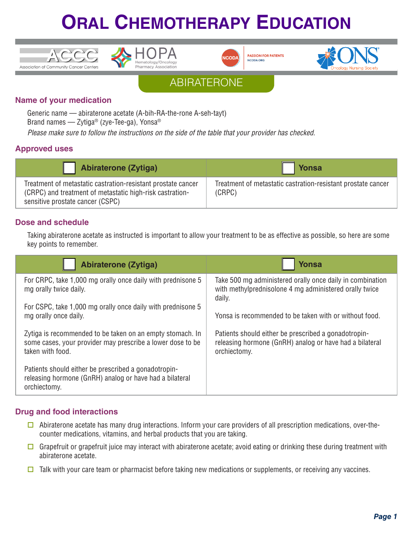





**PASSION FOR PATIENTS** NCODA.ORG



ABIRATERONE

### **Name of your medication**

Generic name — abiraterone acetate (A-bih-RA-the-rone A-seh-tayt)

Brand names — Zytiga® (zye-Tee-ga), Yonsa®

*Please make sure to follow the instructions on the side of the table that your provider has checked.*

### **Approved uses**

| Abiraterone (Zytiga)                                                                                                                                         | <b>Yonsa</b>                                                           |
|--------------------------------------------------------------------------------------------------------------------------------------------------------------|------------------------------------------------------------------------|
| Treatment of metastatic castration-resistant prostate cancer<br>(CRPC) and treatment of metastatic high-risk castration-<br>sensitive prostate cancer (CSPC) | Treatment of metastatic castration-resistant prostate cancer<br>(CRPC) |

### **Dose and schedule**

Taking abiraterone acetate as instructed is important to allow your treatment to be as effective as possible, so here are some key points to remember.

| Abiraterone (Zytiga)                                                                                                                        | Yonsa                                                                                                                           |
|---------------------------------------------------------------------------------------------------------------------------------------------|---------------------------------------------------------------------------------------------------------------------------------|
| For CRPC, take 1,000 mg orally once daily with prednisone 5<br>mg orally twice daily.                                                       | Take 500 mg administered orally once daily in combination<br>with methylprednisolone 4 mg administered orally twice<br>daily.   |
| For CSPC, take 1,000 mg orally once daily with prednisone 5<br>mg orally once daily.                                                        | Yonsa is recommended to be taken with or without food.                                                                          |
| Zytiga is recommended to be taken on an empty stomach. In<br>some cases, your provider may prescribe a lower dose to be<br>taken with food. | Patients should either be prescribed a gonadotropin-<br>releasing hormone (GnRH) analog or have had a bilateral<br>orchiectomy. |
| Patients should either be prescribed a gonadotropin-<br>releasing hormone (GnRH) analog or have had a bilateral<br>orchiectomy.             |                                                                                                                                 |

### **Drug and food interactions**

- $\square$  Abiraterone acetate has many drug interactions. Inform your care providers of all prescription medications, over-thecounter medications, vitamins, and herbal products that you are taking.
- Grapefruit or grapefruit juice may interact with abiraterone acetate; avoid eating or drinking these during treatment with abiraterone acetate.
- $\Box$  Talk with your care team or pharmacist before taking new medications or supplements, or receiving any vaccines.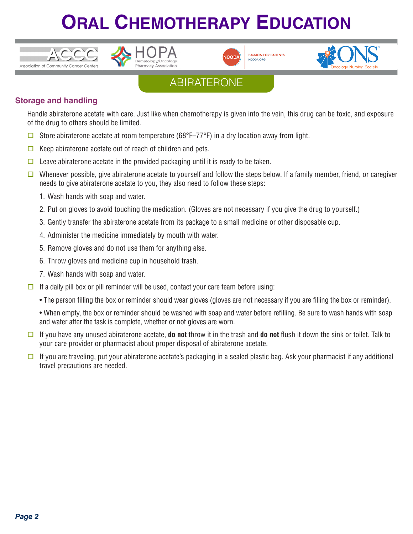





**PASSION FOR PATIENTS** NCODA.ORG



## ABIRATERONE

### **Storage and handling**

Handle abiraterone acetate with care. Just like when chemotherapy is given into the vein, this drug can be toxic, and exposure of the drug to others should be limited.

- $\Box$  Store abiraterone acetate at room temperature (68°F–77°F) in a dry location away from light.
- $\Box$  Keep abiraterone acetate out of reach of children and pets.
- $\Box$  Leave abiraterone acetate in the provided packaging until it is ready to be taken.
- $\square$  Whenever possible, give abiraterone acetate to yourself and follow the steps below. If a family member, friend, or caregiver needs to give abiraterone acetate to you, they also need to follow these steps:
	- 1. Wash hands with soap and water.
	- 2. Put on gloves to avoid touching the medication. (Gloves are not necessary if you give the drug to yourself.)
	- 3. Gently transfer the abiraterone acetate from its package to a small medicine or other disposable cup.
	- 4. Administer the medicine immediately by mouth with water.
	- 5. Remove gloves and do not use them for anything else.
	- 6. Throw gloves and medicine cup in household trash.
	- 7. Wash hands with soap and water.
- $\Box$  If a daily pill box or pill reminder will be used, contact your care team before using:
	- The person filling the box or reminder should wear gloves (gloves are not necessary if you are filling the box or reminder).

• When empty, the box or reminder should be washed with soap and water before refilling. Be sure to wash hands with soap and water after the task is complete, whether or not gloves are worn.

- $\Box$  If you have any unused abiraterone acetate, **do not** throw it in the trash and **do not** flush it down the sink or toilet. Talk to your care provider or pharmacist about proper disposal of abiraterone acetate.
- $\Box$  If you are traveling, put your abiraterone acetate's packaging in a sealed plastic bag. Ask your pharmacist if any additional travel precautions are needed.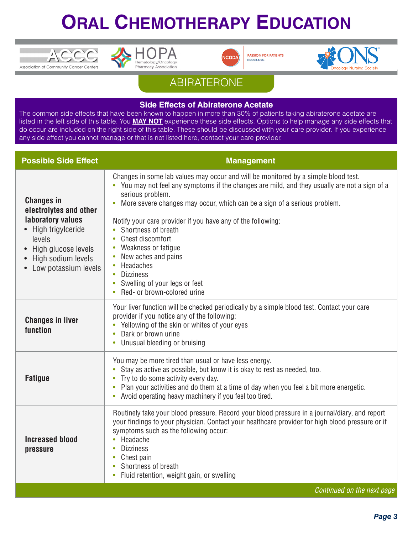





**PASSION FOR PATIENTS** NCODA.ORG



### ABIRATERONE

#### **Side Effects of Abiraterone Acetate**

The common side effects that have been known to happen in more than 30% of patients taking abiraterone acetate are listed in the left side of this table. You **MAY NOT** experience these side effects. Options to help manage any side effects that do occur are included on the right side of this table. These should be discussed with your care provider. If you experience any side effect you cannot manage or that is not listed here, contact your care provider.

| <b>Possible Side Effect</b>                                                                                                                                          | <b>Management</b>                                                                                                                                                                                                                                                                                                                                                                                                                                                                                                                                  |
|----------------------------------------------------------------------------------------------------------------------------------------------------------------------|----------------------------------------------------------------------------------------------------------------------------------------------------------------------------------------------------------------------------------------------------------------------------------------------------------------------------------------------------------------------------------------------------------------------------------------------------------------------------------------------------------------------------------------------------|
| <b>Changes in</b><br>electrolytes and other<br>laboratory values<br>High trigylceride<br>levels<br>High glucose levels<br>High sodium levels<br>Low potassium levels | Changes in some lab values may occur and will be monitored by a simple blood test.<br>• You may not feel any symptoms if the changes are mild, and they usually are not a sign of a<br>serious problem.<br>More severe changes may occur, which can be a sign of a serious problem.<br>Notify your care provider if you have any of the following:<br>Shortness of breath<br>Chest discomfort<br>Weakness or fatigue<br>New aches and pains<br>Headaches<br>Dizziness<br>$\bullet$<br>Swelling of your legs or feet<br>Red- or brown-colored urine |
| <b>Changes in liver</b><br>function                                                                                                                                  | Your liver function will be checked periodically by a simple blood test. Contact your care<br>provider if you notice any of the following:<br>Yellowing of the skin or whites of your eyes<br>Dark or brown urine<br>Unusual bleeding or bruising                                                                                                                                                                                                                                                                                                  |
| <b>Fatigue</b>                                                                                                                                                       | You may be more tired than usual or have less energy.<br>Stay as active as possible, but know it is okay to rest as needed, too.<br>Try to do some activity every day.<br>٠<br>Plan your activities and do them at a time of day when you feel a bit more energetic.<br>Avoid operating heavy machinery if you feel too tired.                                                                                                                                                                                                                     |
| <b>Increased blood</b><br>pressure                                                                                                                                   | Routinely take your blood pressure. Record your blood pressure in a journal/diary, and report<br>your findings to your physician. Contact your healthcare provider for high blood pressure or if<br>symptoms such as the following occur:<br>Headache<br>$\bullet$<br><b>Dizziness</b><br>$\bullet$<br>Chest pain<br>$\bullet$<br>Shortness of breath<br>Fluid retention, weight gain, or swelling                                                                                                                                                 |
|                                                                                                                                                                      | Continued on the next page                                                                                                                                                                                                                                                                                                                                                                                                                                                                                                                         |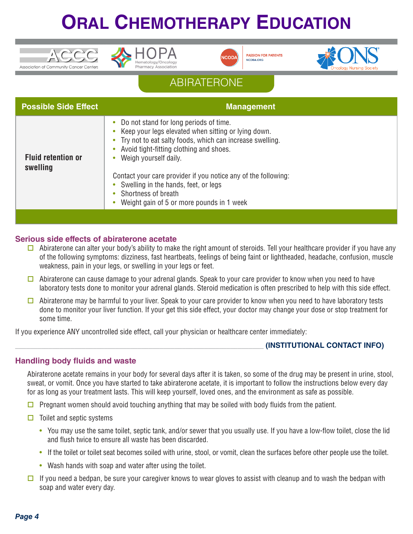





**PASSION FOR PATIENT!** NCODA.ORG



## ABIRATERONE

| <b>Possible Side Effect</b>           | <b>Management</b>                                                                                                                                                                                                                                                                                                                                                                                                     |
|---------------------------------------|-----------------------------------------------------------------------------------------------------------------------------------------------------------------------------------------------------------------------------------------------------------------------------------------------------------------------------------------------------------------------------------------------------------------------|
| <b>Fluid retention or</b><br>swelling | • Do not stand for long periods of time.<br>Keep your legs elevated when sitting or lying down.<br>• Try not to eat salty foods, which can increase swelling.<br>Avoid tight-fitting clothing and shoes.<br>Weigh yourself daily.<br>Contact your care provider if you notice any of the following:<br>• Swelling in the hands, feet, or legs<br>• Shortness of breath<br>• Weight gain of 5 or more pounds in 1 week |
|                                       |                                                                                                                                                                                                                                                                                                                                                                                                                       |

#### **Serious side effects of abiraterone acetate**

- $\square$  Abiraterone can alter your body's ability to make the right amount of steroids. Tell your healthcare provider if you have any of the following symptoms: dizziness, fast heartbeats, feelings of being faint or lightheaded, headache, confusion, muscle weakness, pain in your legs, or swelling in your legs or feet.
- $\Box$  Abiraterone can cause damage to your adrenal glands. Speak to your care provider to know when you need to have laboratory tests done to monitor your adrenal glands. Steroid medication is often prescribed to help with this side effect.
- $\Box$  Abiraterone may be harmful to your liver. Speak to your care provider to know when you need to have laboratory tests done to monitor your liver function. If your get this side effect, your doctor may change your dose or stop treatment for some time.

If you experience ANY uncontrolled side effect, call your physician or healthcare center immediately:

#### \_\_\_\_\_\_\_\_\_\_\_\_\_\_\_\_\_\_\_\_\_\_\_\_\_\_\_\_\_\_\_\_\_\_\_\_\_\_\_\_\_\_\_\_\_\_\_\_\_\_\_\_\_\_\_\_\_\_\_\_\_\_\_\_\_\_\_ **(INSTITUTIONAL CONTACT INFO)**

#### **Handling body fluids and waste**

Abiraterone acetate remains in your body for several days after it is taken, so some of the drug may be present in urine, stool, sweat, or vomit. Once you have started to take abiraterone acetate, it is important to follow the instructions below every day for as long as your treatment lasts. This will keep yourself, loved ones, and the environment as safe as possible.

- $\Box$  Pregnant women should avoid touching anything that may be soiled with body fluids from the patient.
- $\Box$  Toilet and septic systems
	- You may use the same toilet, septic tank, and/or sewer that you usually use. If you have a low-flow toilet, close the lid and flush twice to ensure all waste has been discarded.
	- If the toilet or toilet seat becomes soiled with urine, stool, or vomit, clean the surfaces before other people use the toilet.
	- Wash hands with soap and water after using the toilet.
- $\square$  If you need a bedpan, be sure your caregiver knows to wear gloves to assist with cleanup and to wash the bedpan with soap and water every day.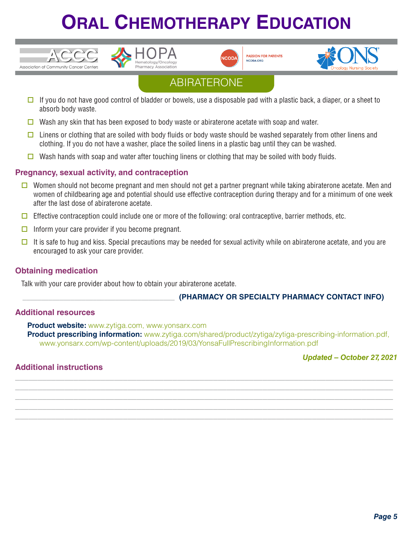



**PASSION FOR PATIENTS** NCODA.ORG



## ABIRATERONE

- $\Box$  If you do not have good control of bladder or bowels, use a disposable pad with a plastic back, a diaper, or a sheet to absorb body waste.
- $\Box$  Wash any skin that has been exposed to body waste or abiraterone acetate with soap and water.
- $\Box$  Linens or clothing that are soiled with body fluids or body waste should be washed separately from other linens and clothing. If you do not have a washer, place the soiled linens in a plastic bag until they can be washed.
- Wash hands with soap and water after touching linens or clothing that may be soiled with body fluids.

#### **Pregnancy, sexual activity, and contraception**

- $\Box$  Women should not become pregnant and men should not get a partner pregnant while taking abiraterone acetate. Men and women of childbearing age and potential should use effective contraception during therapy and for a minimum of one week after the last dose of abiraterone acetate.
- $\Box$  Effective contraception could include one or more of the following: oral contraceptive, barrier methods, etc.
- $\Box$  Inform your care provider if you become pregnant.
- It is safe to hug and kiss. Special precautions may be needed for sexual activity while on abiraterone acetate, and you are encouraged to ask your care provider.

#### **Obtaining medication**

Association of Community Cancer Centers

Talk with your care provider about how to obtain your abiraterone acetate.

#### \_\_\_\_\_\_\_\_\_\_\_\_\_\_\_\_\_\_\_\_\_\_\_\_\_\_\_\_\_\_\_\_\_\_\_\_\_\_\_\_\_ **(PHARMACY OR SPECIALTY PHARMACY CONTACT INFO)**

#### **Additional resources**

**Product website:** www.zytiga.com, www.yonsarx.com **Product prescribing information:** www.zytiga.com/shared/product/zytiga/zytiga-prescribing-information.pdf, www.yonsarx.com/wp-content/uploads/2019/03/YonsaFullPrescribingInformation.pdf

**\_\_\_\_\_\_\_\_\_\_\_\_\_\_\_\_\_\_\_\_\_\_\_\_\_\_\_\_\_\_\_\_\_\_\_\_\_\_\_\_\_\_\_\_\_\_\_\_\_\_\_\_\_\_\_\_\_\_\_\_\_\_\_\_\_\_\_\_\_\_\_\_\_\_\_\_\_\_\_\_\_\_\_\_ \_\_\_\_\_\_\_\_\_\_\_\_\_\_\_\_\_\_\_\_\_\_\_\_\_\_\_\_\_\_\_\_\_\_\_\_\_\_\_\_\_\_\_\_\_\_\_\_\_\_\_\_\_\_\_\_\_\_\_\_\_\_\_\_\_\_\_\_\_\_\_\_\_\_\_\_\_\_\_\_\_\_\_\_ \_\_\_\_\_\_\_\_\_\_\_\_\_\_\_\_\_\_\_\_\_\_\_\_\_\_\_\_\_\_\_\_\_\_\_\_\_\_\_\_\_\_\_\_\_\_\_\_\_\_\_\_\_\_\_\_\_\_\_\_\_\_\_\_\_\_\_\_\_\_\_\_\_\_\_\_\_\_\_\_\_\_\_\_ \_\_\_\_\_\_\_\_\_\_\_\_\_\_\_\_\_\_\_\_\_\_\_\_\_\_\_\_\_\_\_\_\_\_\_\_\_\_\_\_\_\_\_\_\_\_\_\_\_\_\_\_\_\_\_\_\_\_\_\_\_\_\_\_\_\_\_\_\_\_\_\_\_\_\_\_\_\_\_\_\_\_\_\_ \_\_\_\_\_\_\_\_\_\_\_\_\_\_\_\_\_\_\_\_\_\_\_\_\_\_\_\_\_\_\_\_\_\_\_\_\_\_\_\_\_\_\_\_\_\_\_\_\_\_\_\_\_\_\_\_\_\_\_\_\_\_\_\_\_\_\_\_\_\_\_\_\_\_\_\_\_\_\_\_\_\_\_\_**

#### *Updated – October 27, 2021*

#### **Additional instructions**